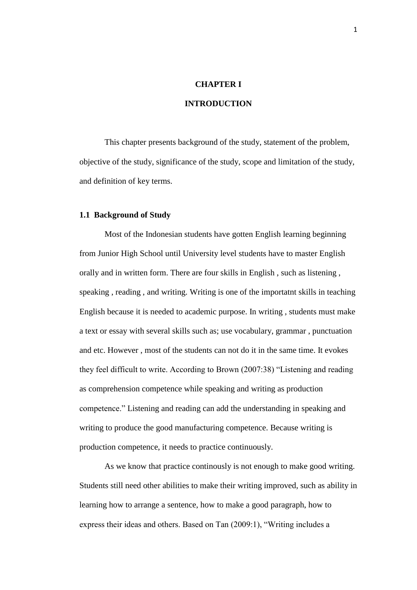## **CHAPTER I**

# **INTRODUCTION**

This chapter presents background of the study, statement of the problem, objective of the study, significance of the study, scope and limitation of the study, and definition of key terms.

### **1.1 Background of Study**

 Most of the Indonesian students have gotten English learning beginning from Junior High School until University level students have to master English orally and in written form. There are four skills in English , such as listening , speaking , reading , and writing. Writing is one of the importatnt skills in teaching English because it is needed to academic purpose. In writing , students must make a text or essay with several skills such as; use vocabulary, grammar , punctuation and etc. However , most of the students can not do it in the same time. It evokes they feel difficult to write. According to Brown (2007:38) "Listening and reading as comprehension competence while speaking and writing as production competence." Listening and reading can add the understanding in speaking and writing to produce the good manufacturing competence. Because writing is production competence, it needs to practice continuously.

 As we know that practice continously is not enough to make good writing. Students still need other abilities to make their writing improved, such as ability in learning how to arrange a sentence, how to make a good paragraph, how to express their ideas and others. Based on Tan (2009:1), "Writing includes a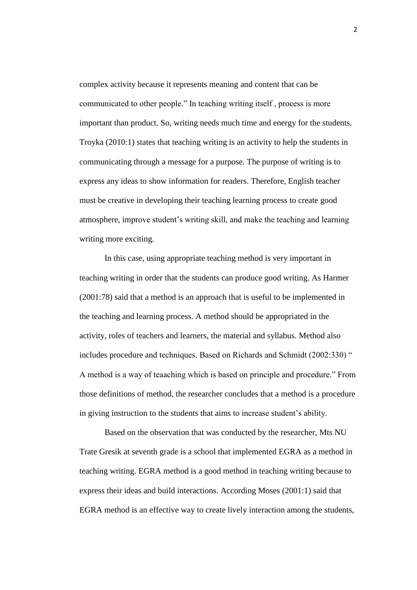complex activity because it represents meaning and content that can be communicated to other people." In teaching writing itself , process is more important than product. So, writing needs much time and energy for the students. Troyka (2010:1) states that teaching writing is an activity to help the students in communicating through a message for a purpose. The purpose of writing is to express any ideas to show information for readers. Therefore, English teacher must be creative in developing their teaching learning process to create good atmosphere, improve student's writing skill, and make the teaching and learning writing more exciting.

 In this case, using appropriate teaching method is very important in teaching writing in order that the students can produce good writing. As Harmer (2001:78) said that a method is an approach that is useful to be implemented in the teaching and learning process. A method should be appropriated in the activity, roles of teachers and learners, the material and syllabus. Method also includes procedure and techniques. Based on Richards and Schmidt (2002:330) " A method is a way of teaaching which is based on principle and procedure." From those definitions of method, the researcher concludes that a method is a procedure in giving instruction to the students that aims to increase student's ability.

 Based on the observation that was conducted by the researcher, Mts NU Trate Gresik at seventh grade is a school that implemented EGRA as a method in teaching writing. EGRA method is a good method in teaching writing because to express their ideas and build interactions. According Moses (2001:1) said that EGRA method is an effective way to create lively interaction among the students,

2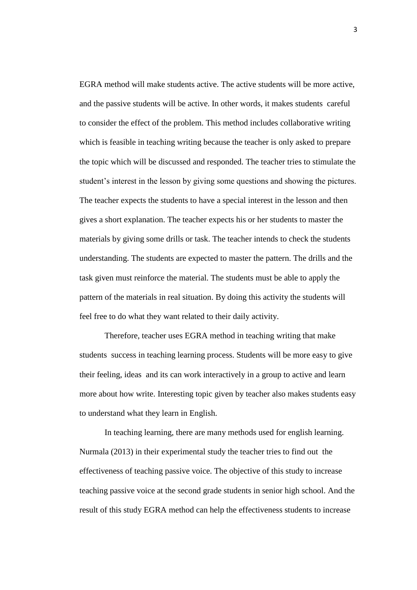EGRA method will make students active. The active students will be more active, and the passive students will be active. In other words, it makes students careful to consider the effect of the problem. This method includes collaborative writing which is feasible in teaching writing because the teacher is only asked to prepare the topic which will be discussed and responded. The teacher tries to stimulate the student's interest in the lesson by giving some questions and showing the pictures. The teacher expects the students to have a special interest in the lesson and then gives a short explanation. The teacher expects his or her students to master the materials by giving some drills or task. The teacher intends to check the students understanding. The students are expected to master the pattern. The drills and the task given must reinforce the material. The students must be able to apply the pattern of the materials in real situation. By doing this activity the students will feel free to do what they want related to their daily activity.

 Therefore, teacher uses EGRA method in teaching writing that make students success in teaching learning process. Students will be more easy to give their feeling, ideas and its can work interactively in a group to active and learn more about how write. Interesting topic given by teacher also makes students easy to understand what they learn in English.

 In teaching learning, there are many methods used for english learning. Nurmala (2013) in their experimental study the teacher tries to find out the effectiveness of teaching passive voice. The objective of this study to increase teaching passive voice at the second grade students in senior high school. And the result of this study EGRA method can help the effectiveness students to increase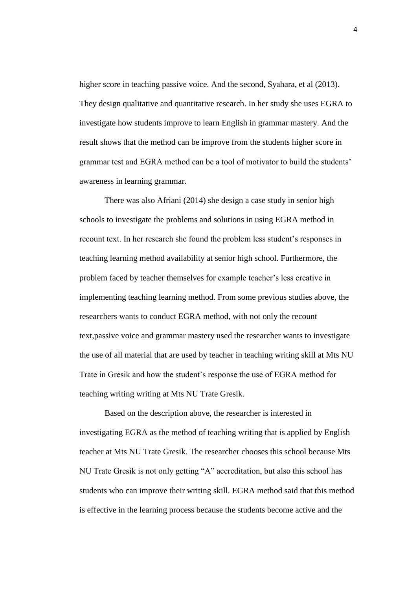higher score in teaching passive voice. And the second, Syahara, et al (2013). They design qualitative and quantitative research. In her study she uses EGRA to investigate how students improve to learn English in grammar mastery. And the result shows that the method can be improve from the students higher score in grammar test and EGRA method can be a tool of motivator to build the students' awareness in learning grammar.

There was also Afriani (2014) she design a case study in senior high schools to investigate the problems and solutions in using EGRA method in recount text. In her research she found the problem less student's responses in teaching learning method availability at senior high school. Furthermore, the problem faced by teacher themselves for example teacher's less creative in implementing teaching learning method. From some previous studies above, the researchers wants to conduct EGRA method, with not only the recount text,passive voice and grammar mastery used the researcher wants to investigate the use of all material that are used by teacher in teaching writing skill at Mts NU Trate in Gresik and how the student's response the use of EGRA method for teaching writing writing at Mts NU Trate Gresik.

Based on the description above, the researcher is interested in investigating EGRA as the method of teaching writing that is applied by English teacher at Mts NU Trate Gresik. The researcher chooses this school because Mts NU Trate Gresik is not only getting "A" accreditation, but also this school has students who can improve their writing skill. EGRA method said that this method is effective in the learning process because the students become active and the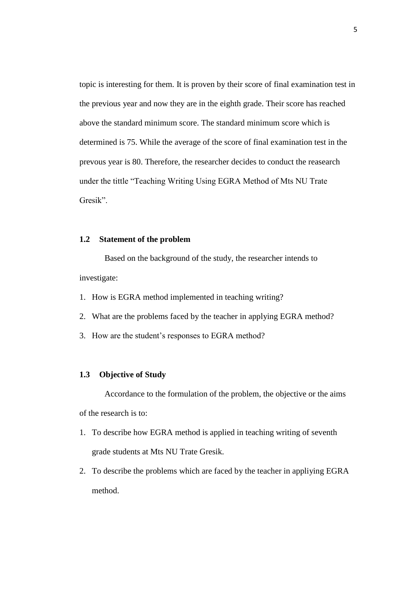topic is interesting for them. It is proven by their score of final examination test in the previous year and now they are in the eighth grade. Their score has reached above the standard minimum score. The standard minimum score which is determined is 75. While the average of the score of final examination test in the prevous year is 80. Therefore, the researcher decides to conduct the reasearch under the tittle "Teaching Writing Using EGRA Method of Mts NU Trate Gresik".

### **1.2 Statement of the problem**

Based on the background of the study, the researcher intends to investigate:

- 1. How is EGRA method implemented in teaching writing?
- 2. What are the problems faced by the teacher in applying EGRA method?
- 3. How are the student's responses to EGRA method?

## **1.3 Objective of Study**

Accordance to the formulation of the problem, the objective or the aims of the research is to:

- 1. To describe how EGRA method is applied in teaching writing of seventh grade students at Mts NU Trate Gresik.
- 2. To describe the problems which are faced by the teacher in appliying EGRA method.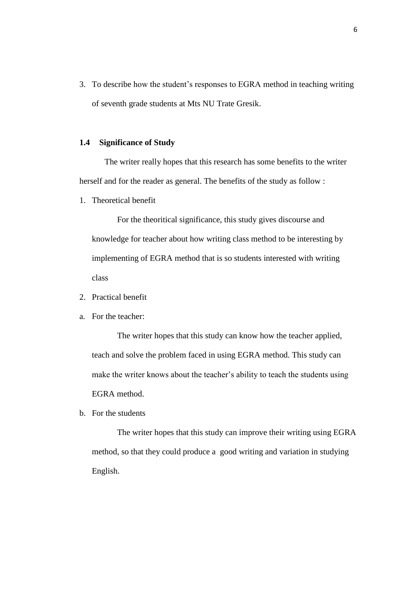3. To describe how the student's responses to EGRA method in teaching writing of seventh grade students at Mts NU Trate Gresik.

### **1.4 Significance of Study**

The writer really hopes that this research has some benefits to the writer herself and for the reader as general. The benefits of the study as follow :

1. Theoretical benefit

For the theoritical significance, this study gives discourse and knowledge for teacher about how writing class method to be interesting by implementing of EGRA method that is so students interested with writing class

- 2. Practical benefit
- a. For the teacher:

The writer hopes that this study can know how the teacher applied, teach and solve the problem faced in using EGRA method. This study can make the writer knows about the teacher's ability to teach the students using EGRA method.

b. For the students

The writer hopes that this study can improve their writing using EGRA method, so that they could produce a good writing and variation in studying English.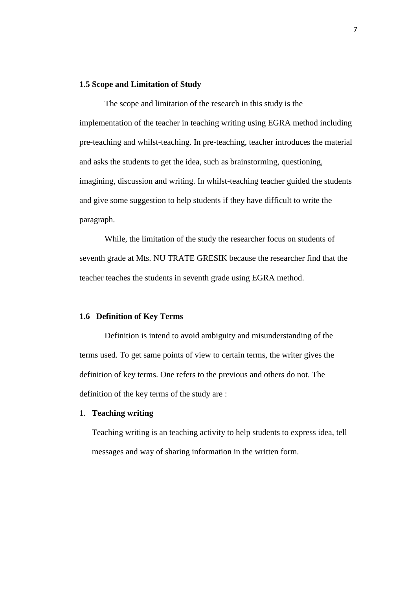### **1.5 Scope and Limitation of Study**

 The scope and limitation of the research in this study is the implementation of the teacher in teaching writing using EGRA method including pre-teaching and whilst-teaching. In pre-teaching, teacher introduces the material and asks the students to get the idea, such as brainstorming, questioning, imagining, discussion and writing. In whilst-teaching teacher guided the students and give some suggestion to help students if they have difficult to write the paragraph.

While, the limitation of the study the researcher focus on students of seventh grade at Mts. NU TRATE GRESIK because the researcher find that the teacher teaches the students in seventh grade using EGRA method.

#### **1.6 Definition of Key Terms**

Definition is intend to avoid ambiguity and misunderstanding of the terms used. To get same points of view to certain terms, the writer gives the definition of key terms. One refers to the previous and others do not. The definition of the key terms of the study are :

### 1. **Teaching writing**

Teaching writing is an teaching activity to help students to express idea, tell messages and way of sharing information in the written form.